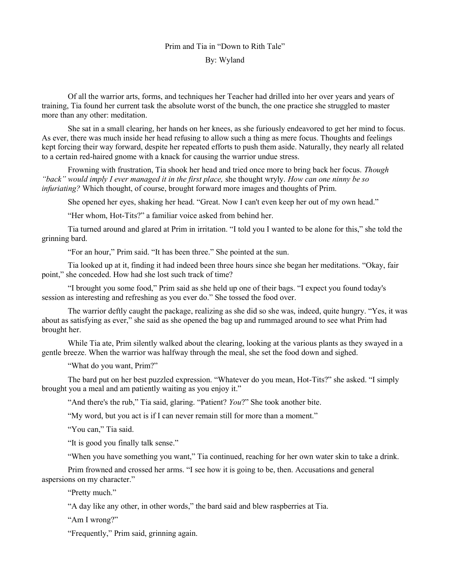## Prim and Tia in "Down to Rith Tale"

## By: Wyland

Of all the warrior arts, forms, and techniques her Teacher had drilled into her over years and years of training, Tia found her current task the absolute worst of the bunch, the one practice she struggled to master more than any other: meditation.

She sat in a small clearing, her hands on her knees, as she furiously endeavored to get her mind to focus. As ever, there was much inside her head refusing to allow such a thing as mere focus. Thoughts and feelings kept forcing their way forward, despite her repeated efforts to push them aside. Naturally, they nearly all related to a certain red-haired gnome with a knack for causing the warrior undue stress.

Frowning with frustration, Tia shook her head and tried once more to bring back her focus. Though "back" would imply I ever managed it in the first place, she thought wryly. How can one ninny be so infuriating? Which thought, of course, brought forward more images and thoughts of Prim.

She opened her eyes, shaking her head. "Great. Now I can't even keep her out of my own head."

"Her whom, Hot-Tits?" a familiar voice asked from behind her.

Tia turned around and glared at Prim in irritation. "I told you I wanted to be alone for this," she told the grinning bard.

"For an hour," Prim said. "It has been three." She pointed at the sun.

Tia looked up at it, finding it had indeed been three hours since she began her meditations. "Okay, fair point," she conceded. How had she lost such track of time?

"I brought you some food," Prim said as she held up one of their bags. "I expect you found today's session as interesting and refreshing as you ever do." She tossed the food over.

The warrior deftly caught the package, realizing as she did so she was, indeed, quite hungry. "Yes, it was about as satisfying as ever," she said as she opened the bag up and rummaged around to see what Prim had brought her.

While Tia ate, Prim silently walked about the clearing, looking at the various plants as they swayed in a gentle breeze. When the warrior was halfway through the meal, she set the food down and sighed.

"What do you want, Prim?"

The bard put on her best puzzled expression. "Whatever do you mean, Hot-Tits?" she asked. "I simply brought you a meal and am patiently waiting as you enjoy it."

"And there's the rub," Tia said, glaring. "Patient? You?" She took another bite.

"My word, but you act is if I can never remain still for more than a moment."

"You can." Tia said.

"It is good you finally talk sense."

"When you have something you want," Tia continued, reaching for her own water skin to take a drink.

Prim frowned and crossed her arms. "I see how it is going to be, then. Accusations and general aspersions on my character."

"Pretty much."

"A day like any other, in other words," the bard said and blew raspberries at Tia.

"Am I wrong?"

"Frequently," Prim said, grinning again.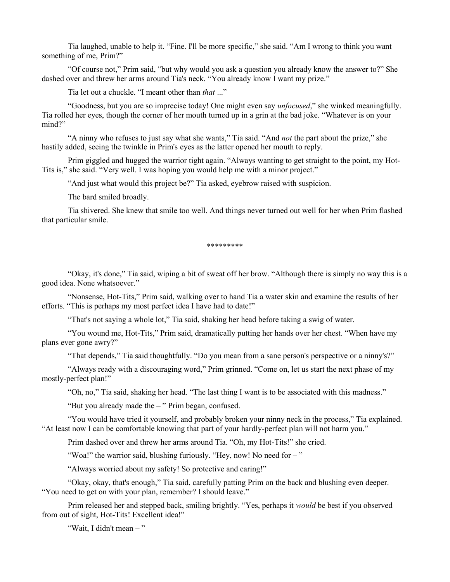Tia laughed, unable to help it. "Fine. I'll be more specific," she said. "Am I wrong to think you want something of me, Prim?"

"Of course not," Prim said, "but why would you ask a question you already know the answer to?" She dashed over and threw her arms around Tia's neck. "You already know I want my prize."

Tia let out a chuckle. "I meant other than that ..."

"Goodness, but you are so imprecise today! One might even say unfocused," she winked meaningfully. Tia rolled her eyes, though the corner of her mouth turned up in a grin at the bad joke. "Whatever is on your mind?"

"A ninny who refuses to just say what she wants," Tia said. "And *not* the part about the prize," she hastily added, seeing the twinkle in Prim's eyes as the latter opened her mouth to reply.

Prim giggled and hugged the warrior tight again. "Always wanting to get straight to the point, my Hot-Tits is," she said. "Very well. I was hoping you would help me with a minor project."

"And just what would this project be?" Tia asked, eyebrow raised with suspicion.

The bard smiled broadly.

Tia shivered. She knew that smile too well. And things never turned out well for her when Prim flashed that particular smile.

## \*\*\*\*\*\*\*\*\*

"Okay, it's done," Tia said, wiping a bit of sweat off her brow. "Although there is simply no way this is a good idea. None whatsoever."

"Nonsense, Hot-Tits," Prim said, walking over to hand Tia a water skin and examine the results of her efforts. "This is perhaps my most perfect idea I have had to date!"

"That's not saying a whole lot," Tia said, shaking her head before taking a swig of water.

"You wound me, Hot-Tits," Prim said, dramatically putting her hands over her chest. "When have my plans ever gone awry?"

"That depends," Tia said thoughtfully. "Do you mean from a sane person's perspective or a ninny's?"

"Always ready with a discouraging word," Prim grinned. "Come on, let us start the next phase of my mostly-perfect plan!"

"Oh, no," Tia said, shaking her head. "The last thing I want is to be associated with this madness."

"But you already made the – " Prim began, confused.

"You would have tried it yourself, and probably broken your ninny neck in the process," Tia explained. "At least now I can be comfortable knowing that part of your hardly-perfect plan will not harm you."

Prim dashed over and threw her arms around Tia. "Oh, my Hot-Tits!" she cried.

"Woa!" the warrior said, blushing furiously. "Hey, now! No need for  $-$ "

"Always worried about my safety! So protective and caring!"

"Okay, okay, that's enough," Tia said, carefully patting Prim on the back and blushing even deeper. "You need to get on with your plan, remember? I should leave."

Prim released her and stepped back, smiling brightly. "Yes, perhaps it would be best if you observed from out of sight, Hot-Tits! Excellent idea!"

"Wait, I didn't mean – "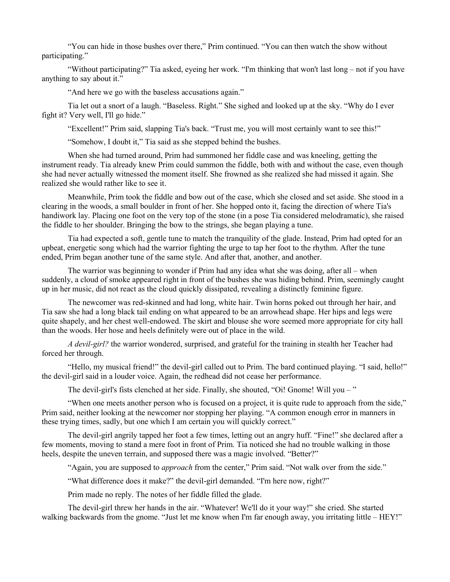"You can hide in those bushes over there," Prim continued. "You can then watch the show without participating."

"Without participating?" Tia asked, eyeing her work. "I'm thinking that won't last long – not if you have anything to say about it."

"And here we go with the baseless accusations again."

Tia let out a snort of a laugh. "Baseless. Right." She sighed and looked up at the sky. "Why do I ever fight it? Very well, I'll go hide."

"Excellent!" Prim said, slapping Tia's back. "Trust me, you will most certainly want to see this!"

"Somehow, I doubt it," Tia said as she stepped behind the bushes.

When she had turned around, Prim had summoned her fiddle case and was kneeling, getting the instrument ready. Tia already knew Prim could summon the fiddle, both with and without the case, even though she had never actually witnessed the moment itself. She frowned as she realized she had missed it again. She realized she would rather like to see it.

Meanwhile, Prim took the fiddle and bow out of the case, which she closed and set aside. She stood in a clearing in the woods, a small boulder in front of her. She hopped onto it, facing the direction of where Tia's handiwork lay. Placing one foot on the very top of the stone (in a pose Tia considered melodramatic), she raised the fiddle to her shoulder. Bringing the bow to the strings, she began playing a tune.

Tia had expected a soft, gentle tune to match the tranquility of the glade. Instead, Prim had opted for an upbeat, energetic song which had the warrior fighting the urge to tap her foot to the rhythm. After the tune ended, Prim began another tune of the same style. And after that, another, and another.

The warrior was beginning to wonder if Prim had any idea what she was doing, after all – when suddenly, a cloud of smoke appeared right in front of the bushes she was hiding behind. Prim, seemingly caught up in her music, did not react as the cloud quickly dissipated, revealing a distinctly feminine figure.

The newcomer was red-skinned and had long, white hair. Twin horns poked out through her hair, and Tia saw she had a long black tail ending on what appeared to be an arrowhead shape. Her hips and legs were quite shapely, and her chest well-endowed. The skirt and blouse she wore seemed more appropriate for city hall than the woods. Her hose and heels definitely were out of place in the wild.

A devil-girl? the warrior wondered, surprised, and grateful for the training in stealth her Teacher had forced her through.

"Hello, my musical friend!" the devil-girl called out to Prim. The bard continued playing. "I said, hello!" the devil-girl said in a louder voice. Again, the redhead did not cease her performance.

The devil-girl's fists clenched at her side. Finally, she shouted, "Oi! Gnome! Will you – "

"When one meets another person who is focused on a project, it is quite rude to approach from the side," Prim said, neither looking at the newcomer nor stopping her playing. "A common enough error in manners in these trying times, sadly, but one which I am certain you will quickly correct."

The devil-girl angrily tapped her foot a few times, letting out an angry huff. "Fine!" she declared after a few moments, moving to stand a mere foot in front of Prim. Tia noticed she had no trouble walking in those heels, despite the uneven terrain, and supposed there was a magic involved. "Better?"

"Again, you are supposed to *approach* from the center," Prim said. "Not walk over from the side."

"What difference does it make?" the devil-girl demanded. "I'm here now, right?"

Prim made no reply. The notes of her fiddle filled the glade.

The devil-girl threw her hands in the air. "Whatever! We'll do it your way!" she cried. She started walking backwards from the gnome. "Just let me know when I'm far enough away, you irritating little – HEY!"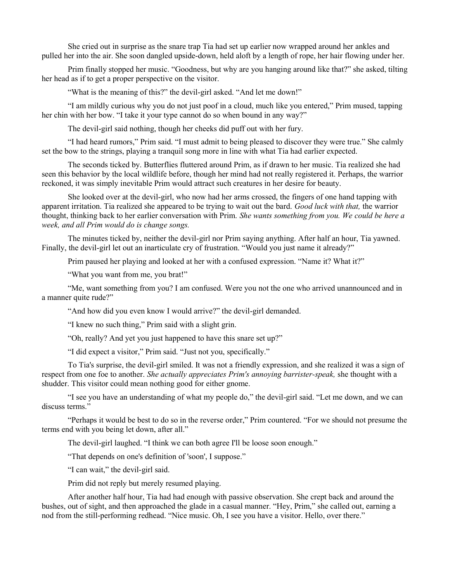She cried out in surprise as the snare trap Tia had set up earlier now wrapped around her ankles and pulled her into the air. She soon dangled upside-down, held aloft by a length of rope, her hair flowing under her.

Prim finally stopped her music. "Goodness, but why are you hanging around like that?" she asked, tilting her head as if to get a proper perspective on the visitor.

"What is the meaning of this?" the devil-girl asked. "And let me down!"

"I am mildly curious why you do not just poof in a cloud, much like you entered," Prim mused, tapping her chin with her bow. "I take it your type cannot do so when bound in any way?"

The devil-girl said nothing, though her cheeks did puff out with her fury.

"I had heard rumors," Prim said. "I must admit to being pleased to discover they were true." She calmly set the bow to the strings, playing a tranquil song more in line with what Tia had earlier expected.

The seconds ticked by. Butterflies fluttered around Prim, as if drawn to her music. Tia realized she had seen this behavior by the local wildlife before, though her mind had not really registered it. Perhaps, the warrior reckoned, it was simply inevitable Prim would attract such creatures in her desire for beauty.

She looked over at the devil-girl, who now had her arms crossed, the fingers of one hand tapping with apparent irritation. Tia realized she appeared to be trying to wait out the bard. Good luck with that, the warrior thought, thinking back to her earlier conversation with Prim. She wants something from you. We could be here a week, and all Prim would do is change songs.

The minutes ticked by, neither the devil-girl nor Prim saying anything. After half an hour, Tia yawned. Finally, the devil-girl let out an inarticulate cry of frustration. "Would you just name it already?"

Prim paused her playing and looked at her with a confused expression. "Name it? What it?"

"What you want from me, you brat!"

"Me, want something from you? I am confused. Were you not the one who arrived unannounced and in a manner quite rude?"

"And how did you even know I would arrive?" the devil-girl demanded.

"I knew no such thing," Prim said with a slight grin.

"Oh, really? And yet you just happened to have this snare set up?"

"I did expect a visitor," Prim said. "Just not you, specifically."

To Tia's surprise, the devil-girl smiled. It was not a friendly expression, and she realized it was a sign of respect from one foe to another. She actually appreciates Prim's annoying barrister-speak, she thought with a shudder. This visitor could mean nothing good for either gnome.

"I see you have an understanding of what my people do," the devil-girl said. "Let me down, and we can discuss terms."

"Perhaps it would be best to do so in the reverse order," Prim countered. "For we should not presume the terms end with you being let down, after all."

The devil-girl laughed. "I think we can both agree I'll be loose soon enough."

"That depends on one's definition of 'soon', I suppose."

"I can wait," the devil-girl said.

Prim did not reply but merely resumed playing.

After another half hour, Tia had had enough with passive observation. She crept back and around the bushes, out of sight, and then approached the glade in a casual manner. "Hey, Prim," she called out, earning a nod from the still-performing redhead. "Nice music. Oh, I see you have a visitor. Hello, over there."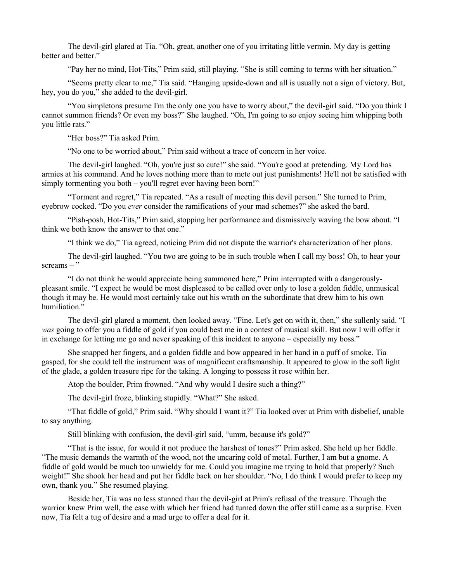The devil-girl glared at Tia. "Oh, great, another one of you irritating little vermin. My day is getting better and better."

"Pay her no mind, Hot-Tits," Prim said, still playing. "She is still coming to terms with her situation."

"Seems pretty clear to me," Tia said. "Hanging upside-down and all is usually not a sign of victory. But, hey, you do you," she added to the devil-girl.

"You simpletons presume I'm the only one you have to worry about," the devil-girl said. "Do you think I cannot summon friends? Or even my boss?" She laughed. "Oh, I'm going to so enjoy seeing him whipping both you little rats."

"Her boss?" Tia asked Prim.

"No one to be worried about," Prim said without a trace of concern in her voice.

The devil-girl laughed. "Oh, you're just so cute!" she said. "You're good at pretending. My Lord has armies at his command. And he loves nothing more than to mete out just punishments! He'll not be satisfied with simply tormenting you both – you'll regret ever having been born!"

"Torment and regret," Tia repeated. "As a result of meeting this devil person." She turned to Prim, eyebrow cocked. "Do you ever consider the ramifications of your mad schemes?" she asked the bard.

"Pish-posh, Hot-Tits," Prim said, stopping her performance and dismissively waving the bow about. "I think we both know the answer to that one."

"I think we do," Tia agreed, noticing Prim did not dispute the warrior's characterization of her plans.

The devil-girl laughed. "You two are going to be in such trouble when I call my boss! Oh, to hear your screams  $-$ "

"I do not think he would appreciate being summoned here," Prim interrupted with a dangerouslypleasant smile. "I expect he would be most displeased to be called over only to lose a golden fiddle, unmusical though it may be. He would most certainly take out his wrath on the subordinate that drew him to his own humiliation."

The devil-girl glared a moment, then looked away. "Fine. Let's get on with it, then," she sullenly said. "I was going to offer you a fiddle of gold if you could best me in a contest of musical skill. But now I will offer it in exchange for letting me go and never speaking of this incident to anyone – especially my boss."

She snapped her fingers, and a golden fiddle and bow appeared in her hand in a puff of smoke. Tia gasped, for she could tell the instrument was of magnificent craftsmanship. It appeared to glow in the soft light of the glade, a golden treasure ripe for the taking. A longing to possess it rose within her.

Atop the boulder, Prim frowned. "And why would I desire such a thing?"

The devil-girl froze, blinking stupidly. "What?" She asked.

"That fiddle of gold," Prim said. "Why should I want it?" Tia looked over at Prim with disbelief, unable to say anything.

Still blinking with confusion, the devil-girl said, "umm, because it's gold?"

"That is the issue, for would it not produce the harshest of tones?" Prim asked. She held up her fiddle. "The music demands the warmth of the wood, not the uncaring cold of metal. Further, I am but a gnome. A fiddle of gold would be much too unwieldy for me. Could you imagine me trying to hold that properly? Such weight!" She shook her head and put her fiddle back on her shoulder. "No, I do think I would prefer to keep my own, thank you." She resumed playing.

Beside her, Tia was no less stunned than the devil-girl at Prim's refusal of the treasure. Though the warrior knew Prim well, the ease with which her friend had turned down the offer still came as a surprise. Even now, Tia felt a tug of desire and a mad urge to offer a deal for it.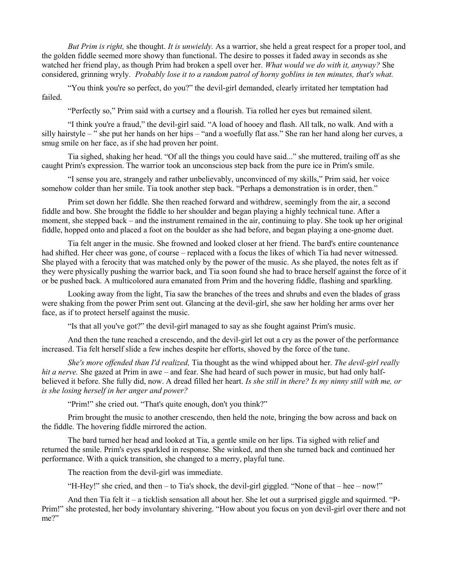But Prim is right, she thought. It is unwieldy. As a warrior, she held a great respect for a proper tool, and the golden fiddle seemed more showy than functional. The desire to posses it faded away in seconds as she watched her friend play, as though Prim had broken a spell over her. What would we do with it, anyway? She considered, grinning wryly. Probably lose it to a random patrol of horny goblins in ten minutes, that's what.

"You think you're so perfect, do you?" the devil-girl demanded, clearly irritated her temptation had failed.

"Perfectly so," Prim said with a curtsey and a flourish. Tia rolled her eyes but remained silent.

"I think you're a fraud," the devil-girl said. "A load of hooey and flash. All talk, no walk. And with a silly hairstyle – " she put her hands on her hips – "and a woefully flat ass." She ran her hand along her curves, a smug smile on her face, as if she had proven her point.

Tia sighed, shaking her head. "Of all the things you could have said..." she muttered, trailing off as she caught Prim's expression. The warrior took an unconscious step back from the pure ice in Prim's smile.

"I sense you are, strangely and rather unbelievably, unconvinced of my skills," Prim said, her voice somehow colder than her smile. Tia took another step back. "Perhaps a demonstration is in order, then."

Prim set down her fiddle. She then reached forward and withdrew, seemingly from the air, a second fiddle and bow. She brought the fiddle to her shoulder and began playing a highly technical tune. After a moment, she stepped back – and the instrument remained in the air, continuing to play. She took up her original fiddle, hopped onto and placed a foot on the boulder as she had before, and began playing a one-gnome duet.

Tia felt anger in the music. She frowned and looked closer at her friend. The bard's entire countenance had shifted. Her cheer was gone, of course – replaced with a focus the likes of which Tia had never witnessed. She played with a ferocity that was matched only by the power of the music. As she played, the notes felt as if they were physically pushing the warrior back, and Tia soon found she had to brace herself against the force of it or be pushed back. A multicolored aura emanated from Prim and the hovering fiddle, flashing and sparkling.

Looking away from the light, Tia saw the branches of the trees and shrubs and even the blades of grass were shaking from the power Prim sent out. Glancing at the devil-girl, she saw her holding her arms over her face, as if to protect herself against the music.

"Is that all you've got?" the devil-girl managed to say as she fought against Prim's music.

And then the tune reached a crescendo, and the devil-girl let out a cry as the power of the performance increased. Tia felt herself slide a few inches despite her efforts, shoved by the force of the tune.

She's more offended than I'd realized, Tia thought as the wind whipped about her. The devil-girl really hit a nerve. She gazed at Prim in awe – and fear. She had heard of such power in music, but had only halfbelieved it before. She fully did, now. A dread filled her heart. Is she still in there? Is my ninny still with me, or is she losing herself in her anger and power?

"Prim!" she cried out. "That's quite enough, don't you think?"

Prim brought the music to another crescendo, then held the note, bringing the bow across and back on the fiddle. The hovering fiddle mirrored the action.

The bard turned her head and looked at Tia, a gentle smile on her lips. Tia sighed with relief and returned the smile. Prim's eyes sparkled in response. She winked, and then she turned back and continued her performance. With a quick transition, she changed to a merry, playful tune.

The reaction from the devil-girl was immediate.

"H-Hey!" she cried, and then – to Tia's shock, the devil-girl giggled. "None of that – hee – now!"

And then Tia felt it – a ticklish sensation all about her. She let out a surprised giggle and squirmed. "P-Prim!" she protested, her body involuntary shivering. "How about you focus on yon devil-girl over there and not me?"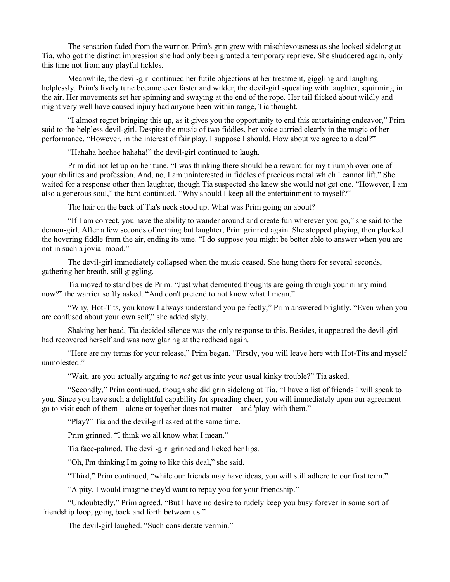The sensation faded from the warrior. Prim's grin grew with mischievousness as she looked sidelong at Tia, who got the distinct impression she had only been granted a temporary reprieve. She shuddered again, only this time not from any playful tickles.

Meanwhile, the devil-girl continued her futile objections at her treatment, giggling and laughing helplessly. Prim's lively tune became ever faster and wilder, the devil-girl squealing with laughter, squirming in the air. Her movements set her spinning and swaying at the end of the rope. Her tail flicked about wildly and might very well have caused injury had anyone been within range, Tia thought.

"I almost regret bringing this up, as it gives you the opportunity to end this entertaining endeavor," Prim said to the helpless devil-girl. Despite the music of two fiddles, her voice carried clearly in the magic of her performance. "However, in the interest of fair play, I suppose I should. How about we agree to a deal?"

"Hahaha heehee hahaha!" the devil-girl continued to laugh.

Prim did not let up on her tune. "I was thinking there should be a reward for my triumph over one of your abilities and profession. And, no, I am uninterested in fiddles of precious metal which I cannot lift." She waited for a response other than laughter, though Tia suspected she knew she would not get one. "However, I am also a generous soul," the bard continued. "Why should I keep all the entertainment to myself?"

The hair on the back of Tia's neck stood up. What was Prim going on about?

"If I am correct, you have the ability to wander around and create fun wherever you go," she said to the demon-girl. After a few seconds of nothing but laughter, Prim grinned again. She stopped playing, then plucked the hovering fiddle from the air, ending its tune. "I do suppose you might be better able to answer when you are not in such a jovial mood."

The devil-girl immediately collapsed when the music ceased. She hung there for several seconds, gathering her breath, still giggling.

Tia moved to stand beside Prim. "Just what demented thoughts are going through your ninny mind now?" the warrior softly asked. "And don't pretend to not know what I mean."

"Why, Hot-Tits, you know I always understand you perfectly," Prim answered brightly. "Even when you are confused about your own self," she added slyly.

Shaking her head, Tia decided silence was the only response to this. Besides, it appeared the devil-girl had recovered herself and was now glaring at the redhead again.

"Here are my terms for your release," Prim began. "Firstly, you will leave here with Hot-Tits and myself unmolested."

"Wait, are you actually arguing to not get us into your usual kinky trouble?" Tia asked.

"Secondly," Prim continued, though she did grin sidelong at Tia. "I have a list of friends I will speak to you. Since you have such a delightful capability for spreading cheer, you will immediately upon our agreement go to visit each of them – alone or together does not matter – and 'play' with them."

"Play?" Tia and the devil-girl asked at the same time.

Prim grinned. "I think we all know what I mean."

Tia face-palmed. The devil-girl grinned and licked her lips.

"Oh, I'm thinking I'm going to like this deal," she said.

"Third," Prim continued, "while our friends may have ideas, you will still adhere to our first term."

"A pity. I would imagine they'd want to repay you for your friendship."

"Undoubtedly," Prim agreed. "But I have no desire to rudely keep you busy forever in some sort of friendship loop, going back and forth between us."

The devil-girl laughed. "Such considerate vermin."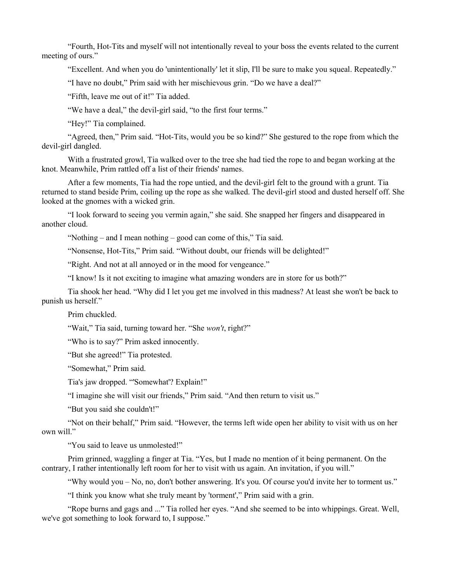"Fourth, Hot-Tits and myself will not intentionally reveal to your boss the events related to the current meeting of ours."

"Excellent. And when you do 'unintentionally' let it slip, I'll be sure to make you squeal. Repeatedly."

"I have no doubt," Prim said with her mischievous grin. "Do we have a deal?"

"Fifth, leave me out of it!" Tia added.

"We have a deal," the devil-girl said, "to the first four terms."

"Hey!" Tia complained.

"Agreed, then," Prim said. "Hot-Tits, would you be so kind?" She gestured to the rope from which the devil-girl dangled.

With a frustrated growl, Tia walked over to the tree she had tied the rope to and began working at the knot. Meanwhile, Prim rattled off a list of their friends' names.

After a few moments, Tia had the rope untied, and the devil-girl felt to the ground with a grunt. Tia returned to stand beside Prim, coiling up the rope as she walked. The devil-girl stood and dusted herself off. She looked at the gnomes with a wicked grin.

"I look forward to seeing you vermin again," she said. She snapped her fingers and disappeared in another cloud.

"Nothing – and I mean nothing – good can come of this," Tia said.

"Nonsense, Hot-Tits," Prim said. "Without doubt, our friends will be delighted!"

"Right. And not at all annoyed or in the mood for vengeance."

"I know! Is it not exciting to imagine what amazing wonders are in store for us both?"

Tia shook her head. "Why did I let you get me involved in this madness? At least she won't be back to punish us herself."

Prim chuckled.

"Wait," Tia said, turning toward her. "She won't, right?"

"Who is to say?" Prim asked innocently.

"But she agreed!" Tia protested.

"Somewhat," Prim said.

Tia's jaw dropped. "'Somewhat'? Explain!"

"I imagine she will visit our friends," Prim said. "And then return to visit us."

"But you said she couldn't!"

"Not on their behalf," Prim said. "However, the terms left wide open her ability to visit with us on her own will."

"You said to leave us unmolested!"

Prim grinned, waggling a finger at Tia. "Yes, but I made no mention of it being permanent. On the contrary, I rather intentionally left room for her to visit with us again. An invitation, if you will."

"Why would you – No, no, don't bother answering. It's you. Of course you'd invite her to torment us."

"I think you know what she truly meant by 'torment'," Prim said with a grin.

"Rope burns and gags and ..." Tia rolled her eyes. "And she seemed to be into whippings. Great. Well, we've got something to look forward to, I suppose."